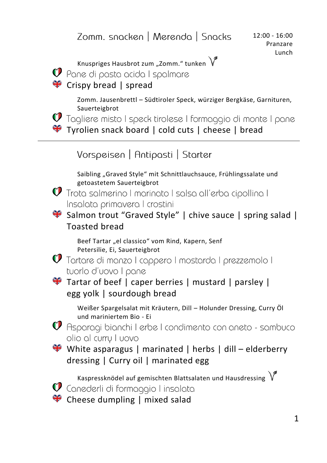Zomm. snacken | Merenda | Snacks 12:00 - 16:00 Pranzare LunchKnuspriges Hausbrot zum "Zomm." tunken  $\sqrt{\ }$  $\mathcal Q$  Pane di pasta acida I spalmare **<sup>◆</sup>** Crispy bread | spread Zomm. Jausenbrettl – Südtiroler Speck, würziger Bergkäse, Garnituren, Sauerteigbrot<br>• Tagliere misto I speck tirolese I formaggio di monte I pane Tyrolien snack board | cold cuts | cheese | bread Vorspeisen | Antipasti | Starter Saibling "Graved Style" mit Schnittlauchsauce, Frühlingssalate und getoastetem Sauerteigbrot  $\mathbf{\mathcal{O}}$  Trota salmerino I marinato I salsa all'erba cipollina I Insalata primavera I crostini Salmon trout "Graved Style" | chive sauce | spring salad | Toasted bread Beef Tartar "el classico" vom Rind, Kapern, Senf Petersilie, Ei, Sauerteigbrot  $\mathbf{\mathcal{O}}$  Tartare di manzo I cappero I mostarda I prezzemolo I tuorlo d'uovo I pane  $\blacktriangleright$  Tartar of beef | caper berries | mustard | parsley | egg yolk | sourdough bread Weißer Spargelsalat mit Kräutern, Dill – Holunder Dressing, Curry Öl und mariniertem Bio - Ei  $\mathcal Q$  Asparagi bianchi I erbe I condimento con aneto - sambuco olio al curru I uovo White asparagus | marinated | herbs | dill – elderberry dressing | Curry oil | marinated egg Kaspressknödel auf gemischten Blattsalaten und Hausdressing  $\sqrt{\ }$  $\mathbf U$  Canederli di formaggio I insalata

**<sup>₩</sup>** Cheese dumpling I mixed salad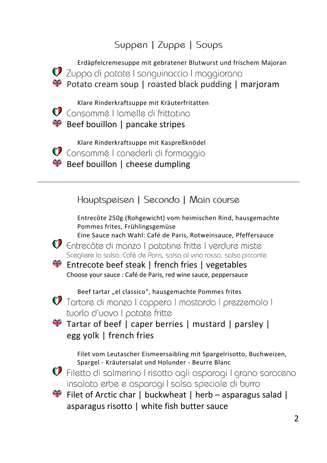## Suppen | Zuppe | Soups



Eine Sauce nach Wahl: Café de Paris, Rotweinsauce, Pfeffersauce  $\mathbf{\mathcal{O}}$  Entrecôte di manzo I patatine fritte I verdure miste



Choose your sauce : Café de Paris, red wine sauce, peppersauce

Beef tartar "el classico", hausgemachte Pommes frites<br> **1** Tortare di manzo I cappero I mostarda I prezzemolo I tuorlo d'uovo I patate fritte

Tartar of beef | caper berries | mustard | parsley | egg yolk | french fries

> Filet vom Leutascher Eismeersaibling mit Spargelrisotto, Buchweizen, Spargel - Kräutersalat und Holunder - Beurre Blanc

 $\mathbf{\mathcal{O}}$  Filetto di salmerino I risotto agli asparagi I grano saraceno insalata erbe e asparagi I salsa speciale di burro

 $\bullet$  Filet of Arctic char | buckwheat | herb – asparagus salad | asparagus risotto | white fish butter sauce